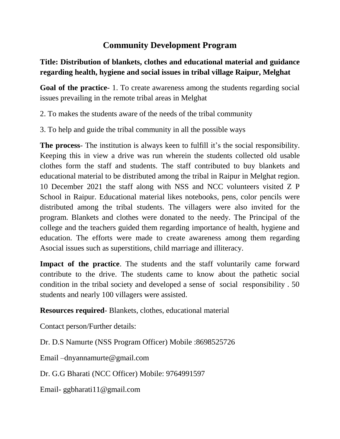## **Community Development Program**

## **Title: Distribution of blankets, clothes and educational material and guidance regarding health, hygiene and social issues in tribal village Raipur, Melghat**

**Goal of the practice**- 1. To create awareness among the students regarding social issues prevailing in the remote tribal areas in Melghat

2. To makes the students aware of the needs of the tribal community

3. To help and guide the tribal community in all the possible ways

**The process**- The institution is always keen to fulfill it's the social responsibility. Keeping this in view a drive was run wherein the students collected old usable clothes form the staff and students. The staff contributed to buy blankets and educational material to be distributed among the tribal in Raipur in Melghat region. 10 December 2021 the staff along with NSS and NCC volunteers visited Z P School in Raipur. Educational material likes notebooks, pens, color pencils were distributed among the tribal students. The villagers were also invited for the program. Blankets and clothes were donated to the needy. The Principal of the college and the teachers guided them regarding importance of health, hygiene and education. The efforts were made to create awareness among them regarding Asocial issues such as superstitions, child marriage and illiteracy.

**Impact of the practice**. The students and the staff voluntarily came forward contribute to the drive. The students came to know about the pathetic social condition in the tribal society and developed a sense of social responsibility . 50 students and nearly 100 villagers were assisted.

**Resources required**- Blankets, clothes, educational material

Contact person/Further details:

Dr. D.S Namurte (NSS Program Officer) Mobile :8698525726

Email –dnyannamurte@gmail.com

Dr. G.G Bharati (NCC Officer) Mobile: 9764991597

Email- ggbharati11@gmail.com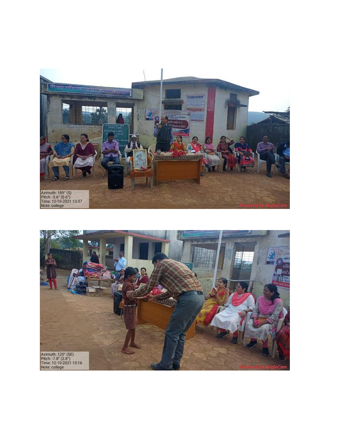